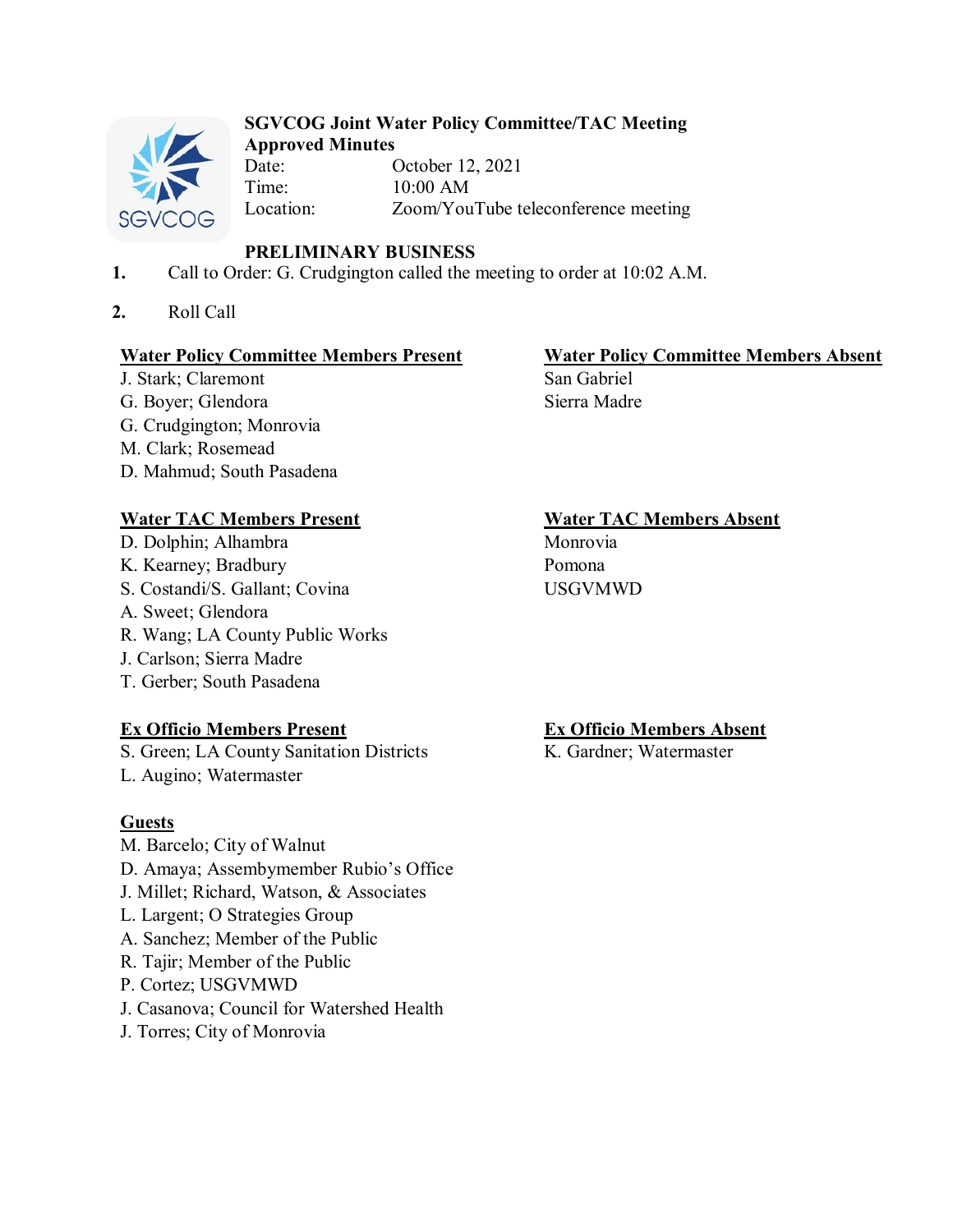

#### **SGVCOG Joint Water Policy Committee/TAC Meeting Approved Minutes**

Date: October 12, 2021 Time: 10:00 AM<br>Location: Zoom/You Zoom/YouTube teleconference meeting

## **PRELIMINARY BUSINESS**

- **1.** Call to Order: G. Crudgington called the meeting to order at 10:02 A.M.
- **2.** Roll Call

## **Water Policy Committee Members Present Water Policy Committee Members Absent**

J. Stark; Claremont San Gabriel G. Boyer; Glendora Sierra Madre G. Crudgington; Monrovia M. Clark; Rosemead D. Mahmud; South Pasadena

# **Water TAC Members Present Water TAC Members Absent**

- D. Dolphin; Alhambra Monrovia K. Kearney; Bradbury Pomona S. Costandi/S. Gallant; Covina USGVMWD A. Sweet; Glendora R. Wang; LA County Public Works J. Carlson; Sierra Madre
- T. Gerber; South Pasadena

# **Ex Officio Members Present Ex Officio Members Absent**

S. Green; LA County Sanitation Districts K. Gardner; Watermaster L. Augino; Watermaster

# **Guests**

- M. Barcelo; City of Walnut D. Amaya; Assembymember Rubio's Office J. Millet; Richard, Watson, & Associates L. Largent; O Strategies Group A. Sanchez; Member of the Public R. Tajir; Member of the Public P. Cortez; USGVMWD J. Casanova; Council for Watershed Health
- J. Torres; City of Monrovia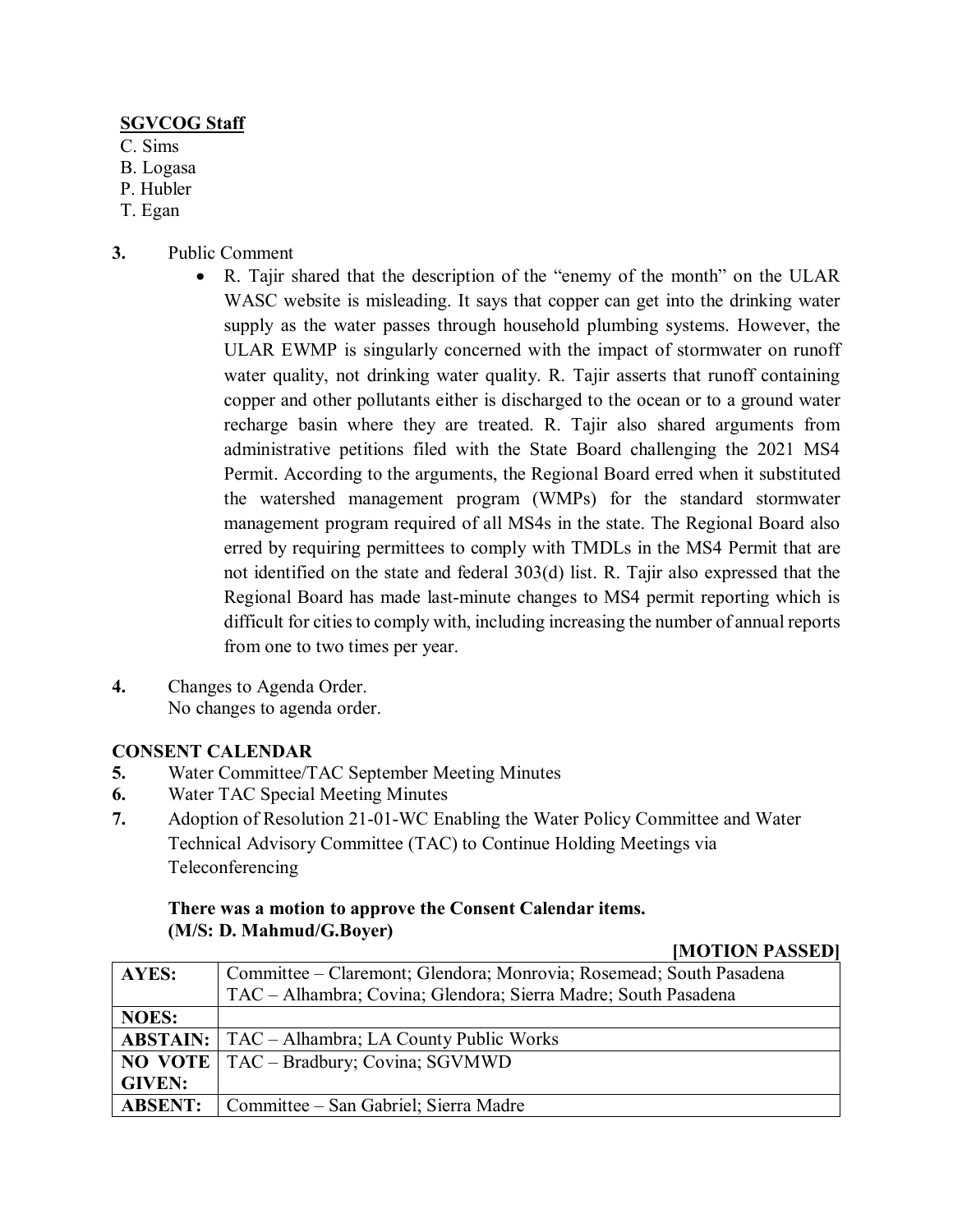## **SGVCOG Staff**

- C. Sims
- B. Logasa
- P. Hubler
- T. Egan
- **3.** Public Comment
	- R. Tajir shared that the description of the "enemy of the month" on the ULAR WASC website is misleading. It says that copper can get into the drinking water supply as the water passes through household plumbing systems. However, the ULAR EWMP is singularly concerned with the impact of stormwater on runoff water quality, not drinking water quality. R. Tajir asserts that runoff containing copper and other pollutants either is discharged to the ocean or to a ground water recharge basin where they are treated. R. Tajir also shared arguments from administrative petitions filed with the State Board challenging the 2021 MS4 Permit. According to the arguments, the Regional Board erred when it substituted the watershed management program (WMPs) for the standard stormwater management program required of all MS4s in the state. The Regional Board also erred by requiring permittees to comply with TMDLs in the MS4 Permit that are not identified on the state and federal 303(d) list. R. Tajir also expressed that the Regional Board has made last-minute changes to MS4 permit reporting which is difficult for cities to comply with, including increasing the number of annual reports from one to two times per year.
- **4.** Changes to Agenda Order. No changes to agenda order.

## **CONSENT CALENDAR**

- **5.** Water Committee/TAC September Meeting Minutes
- **6.** Water TAC Special Meeting Minutes
- **7.** Adoption of Resolution 21-01-WC Enabling the Water Policy Committee and Water Technical Advisory Committee (TAC) to Continue Holding Meetings via Teleconferencing

### **There was a motion to approve the Consent Calendar items. (M/S: D. Mahmud/G.Boyer)**

| AYES:          | Committee – Claremont; Glendora; Monrovia; Rosemead; South Pasadena |
|----------------|---------------------------------------------------------------------|
|                | TAC - Alhambra; Covina; Glendora; Sierra Madre; South Pasadena      |
| <b>NOES:</b>   |                                                                     |
|                | <b>ABSTAIN:</b>   TAC – Alhambra; LA County Public Works            |
|                | <b>NO VOTE</b>   TAC – Bradbury; Covina; SGVMWD                     |
| <b>GIVEN:</b>  |                                                                     |
| <b>ABSENT:</b> | Committee – San Gabriel; Sierra Madre                               |

**[MOTION PASSED]**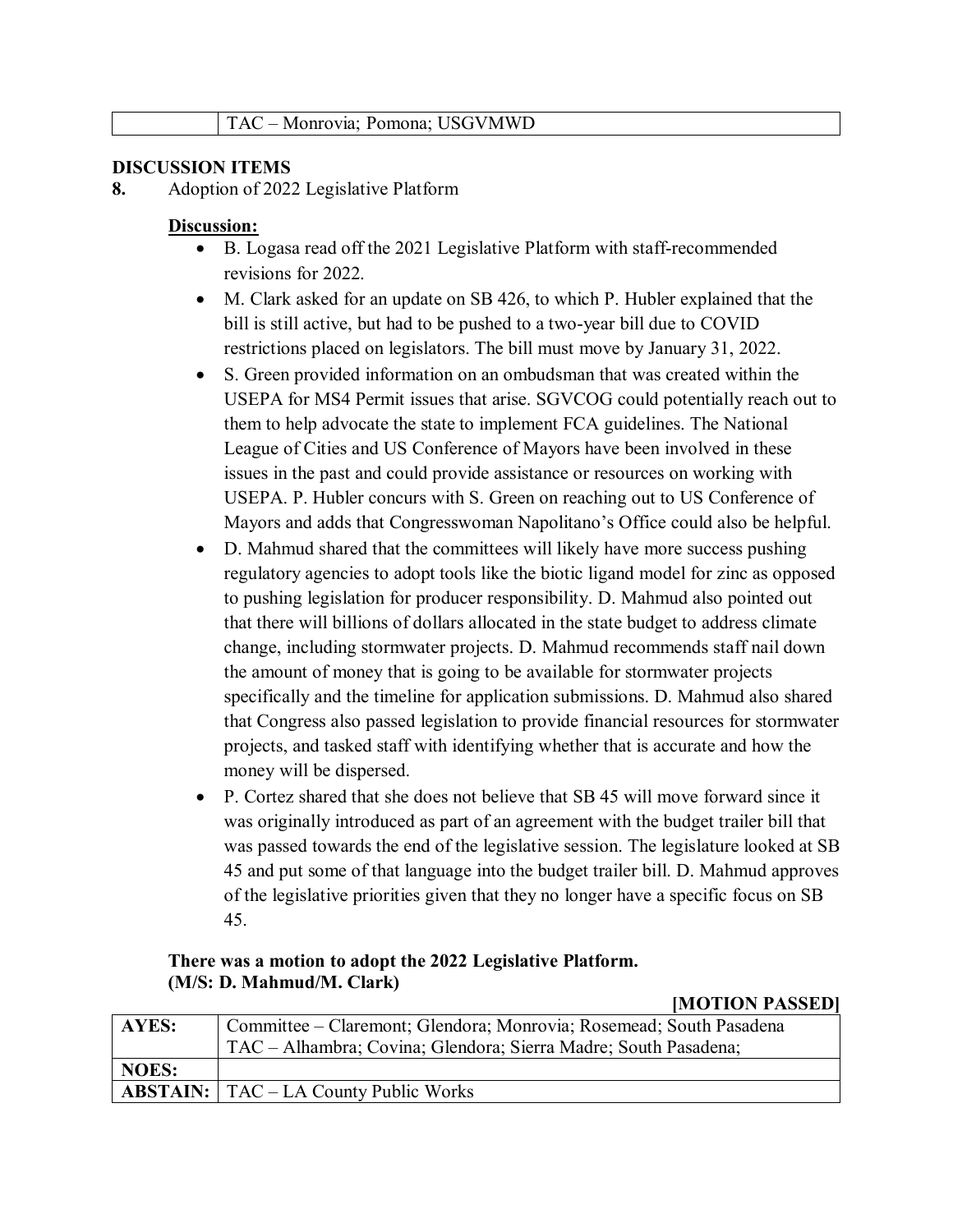#### **DISCUSSION ITEMS**

**8.** Adoption of 2022 Legislative Platform

#### **Discussion:**

- B. Logasa read off the 2021 Legislative Platform with staff-recommended revisions for 2022.
- M. Clark asked for an update on SB 426, to which P. Hubler explained that the bill is still active, but had to be pushed to a two-year bill due to COVID restrictions placed on legislators. The bill must move by January 31, 2022.
- S. Green provided information on an ombudsman that was created within the USEPA for MS4 Permit issues that arise. SGVCOG could potentially reach out to them to help advocate the state to implement FCA guidelines. The National League of Cities and US Conference of Mayors have been involved in these issues in the past and could provide assistance or resources on working with USEPA. P. Hubler concurs with S. Green on reaching out to US Conference of Mayors and adds that Congresswoman Napolitano's Office could also be helpful.
- D. Mahmud shared that the committees will likely have more success pushing regulatory agencies to adopt tools like the biotic ligand model for zinc as opposed to pushing legislation for producer responsibility. D. Mahmud also pointed out that there will billions of dollars allocated in the state budget to address climate change, including stormwater projects. D. Mahmud recommends staff nail down the amount of money that is going to be available for stormwater projects specifically and the timeline for application submissions. D. Mahmud also shared that Congress also passed legislation to provide financial resources for stormwater projects, and tasked staff with identifying whether that is accurate and how the money will be dispersed.
- P. Cortez shared that she does not believe that SB 45 will move forward since it was originally introduced as part of an agreement with the budget trailer bill that was passed towards the end of the legislative session. The legislature looked at SB 45 and put some of that language into the budget trailer bill. D. Mahmud approves of the legislative priorities given that they no longer have a specific focus on SB 45.

#### **There was a motion to adopt the 2022 Legislative Platform. (M/S: D. Mahmud/M. Clark)**

# **[MOTION PASSED]**

| <b>AYES:</b> | Committee – Claremont; Glendora; Monrovia; Rosemead; South Pasadena |
|--------------|---------------------------------------------------------------------|
|              | TAC – Alhambra; Covina; Glendora; Sierra Madre; South Pasadena;     |
| NOES:        |                                                                     |
|              | $ABSTAIN:   TAC - LA County Public Works$                           |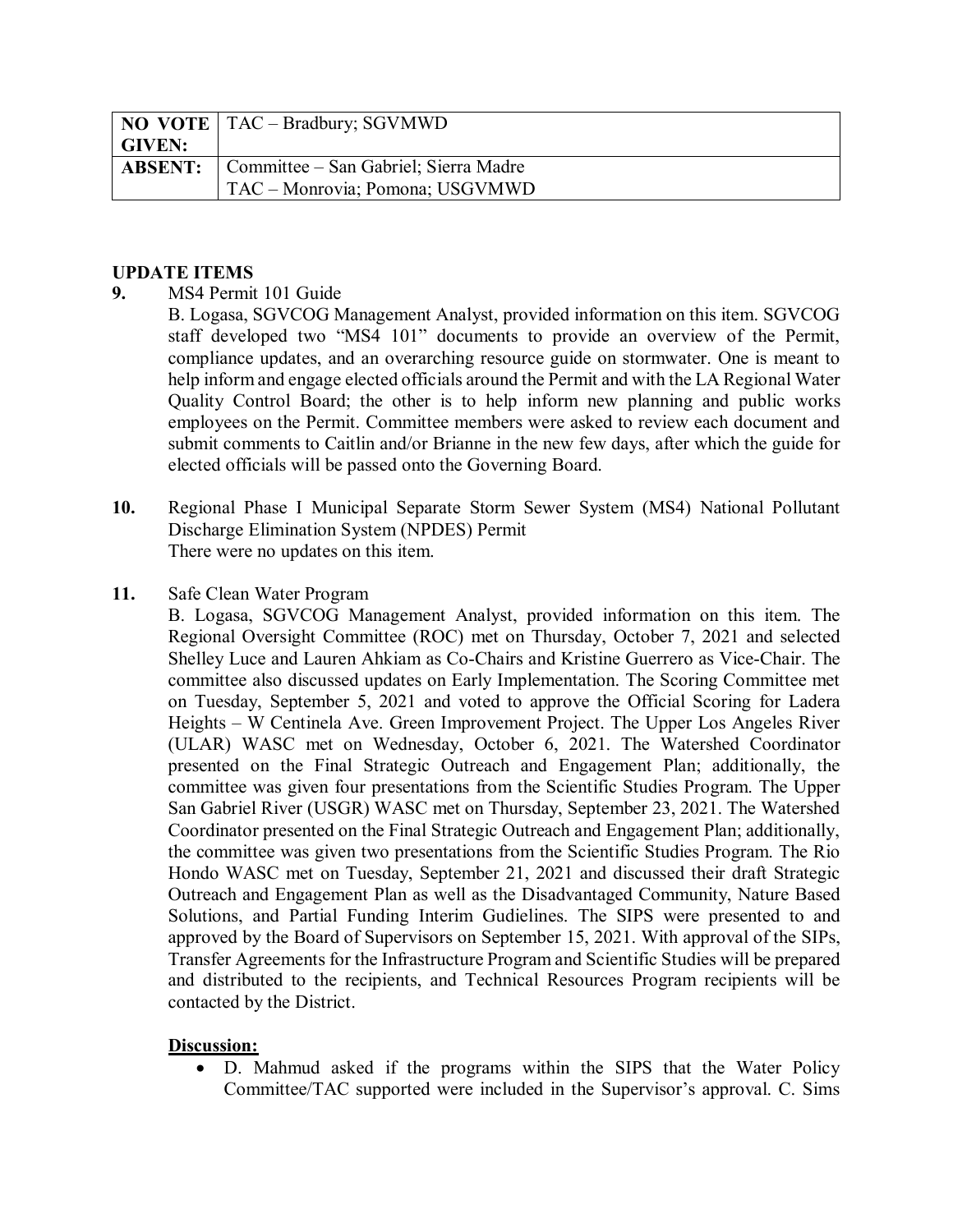|               | <b>NO VOTE</b>   TAC – Bradbury; SGVMWD              |
|---------------|------------------------------------------------------|
| <b>GIVEN:</b> |                                                      |
|               | <b>ABSENT:</b> Committee – San Gabriel; Sierra Madre |
|               | TAC - Monrovia; Pomona; USGVMWD                      |

#### **UPDATE ITEMS**

**9.** MS4 Permit 101 Guide

B. Logasa, SGVCOG Management Analyst, provided information on this item. SGVCOG staff developed two "MS4 101" documents to provide an overview of the Permit, compliance updates, and an overarching resource guide on stormwater. One is meant to help inform and engage elected officials around the Permit and with the LA Regional Water Quality Control Board; the other is to help inform new planning and public works employees on the Permit. Committee members were asked to review each document and submit comments to Caitlin and/or Brianne in the new few days, after which the guide for elected officials will be passed onto the Governing Board.

- **10.** Regional Phase I Municipal Separate Storm Sewer System (MS4) National Pollutant Discharge Elimination System (NPDES) Permit There were no updates on this item.
- **11.** Safe Clean Water Program

B. Logasa, SGVCOG Management Analyst, provided information on this item. The Regional Oversight Committee (ROC) met on Thursday, October 7, 2021 and selected Shelley Luce and Lauren Ahkiam as Co-Chairs and Kristine Guerrero as Vice-Chair. The committee also discussed updates on Early Implementation. The Scoring Committee met on Tuesday, September 5, 2021 and voted to approve the Official Scoring for Ladera Heights – W Centinela Ave. Green Improvement Project. The Upper Los Angeles River (ULAR) WASC met on Wednesday, October 6, 2021. The Watershed Coordinator presented on the Final Strategic Outreach and Engagement Plan; additionally, the committee was given four presentations from the Scientific Studies Program. The Upper San Gabriel River (USGR) WASC met on Thursday, September 23, 2021. The Watershed Coordinator presented on the Final Strategic Outreach and Engagement Plan; additionally, the committee was given two presentations from the Scientific Studies Program. The Rio Hondo WASC met on Tuesday, September 21, 2021 and discussed their draft Strategic Outreach and Engagement Plan as well as the Disadvantaged Community, Nature Based Solutions, and Partial Funding Interim Gudielines. The SIPS were presented to and approved by the Board of Supervisors on September 15, 2021. With approval of the SIPs, Transfer Agreements for the Infrastructure Program and Scientific Studies will be prepared and distributed to the recipients, and Technical Resources Program recipients will be contacted by the District.

### **Discussion:**

• D. Mahmud asked if the programs within the SIPS that the Water Policy Committee/TAC supported were included in the Supervisor's approval. C. Sims